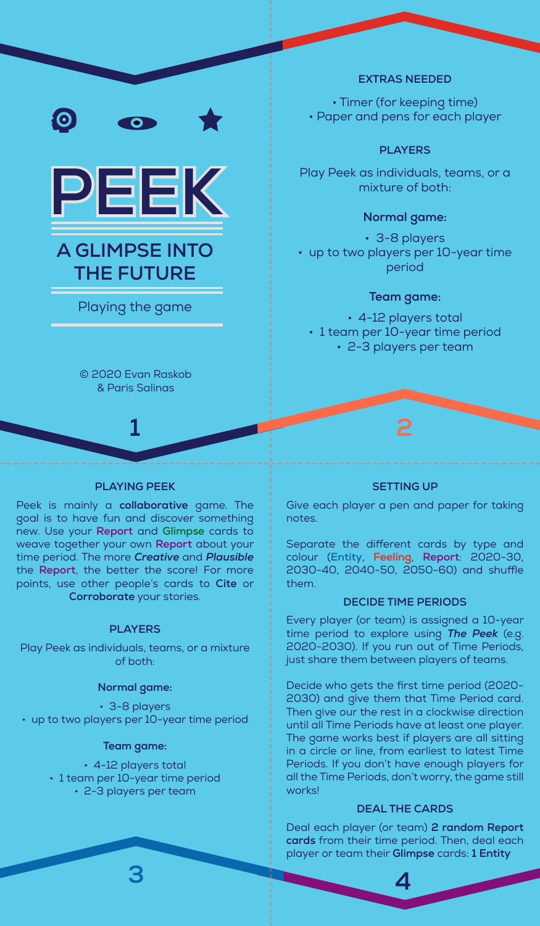



# **A GLIMPSE INTO THE FUTURE**

Playing the game

© 2020 Evan Raskob & Paris Salinas

# **PLAYING PEEK**

Peek is mainly a **collaborative** game. The goal is to have fun and discover something new. Use your **Report** and **Glimpse** cards to weave together your own **Report** about your time period. The more *Creative* and *Plausible* the **Report**, the better the score! For more points, use other people's cards to **Cite** or **Corroborate** your stories.

## **PLAYERS**

Play Peek as individuals, teams, or a mixture of both:

#### **Normal game:**

• 3-8 players • up to two players per 10-year time period

#### **Team game:**

• 4-12 players total • 1 team per 10-year time period • 2-3 players per team

## **EXTRAS NEEDED**

• Timer (for keeping time) • Paper and pens for each player

# **PLAYERS**

Play Peek as individuals, teams, or a mixture of both:

# **Normal game:**

• 3-8 players • up to two players per 10-year time period

# **Team game:**

• 4-12 players total • 1 team per 10-year time period • 2-3 players per team

# **1 2**

## **SETTING UP**

Give each player a pen and paper for taking notes.

Separate the different cards by type and colour (**Entity**, **Feeling**, **Report**: 2020-30, 2030-40, 2040-50, 2050-60) and shuffle them.

# **DECIDE TIME PERIODS**

Every player (or team) is assigned a 10-year time period to explore using *The Peek* (e.g. 2020-2030). If you run out of Time Periods, just share them between players of teams.

Decide who gets the first time period (2020- 2030) and give them that Time Period card. Then give our the rest in a clockwise direction until all Time Periods have at least one player. The game works best if players are all sitting in a circle or line, from earliest to latest Time Periods. If you don't have enough players for all the Time Periods, don't worry, the game still works!

## **DEAL THE CARDS**

Deal each player (or team) **2 random Report cards** from their time period. Then, deal each player or team their **Glimpse** cards: **1 Entity** 

**3 4**